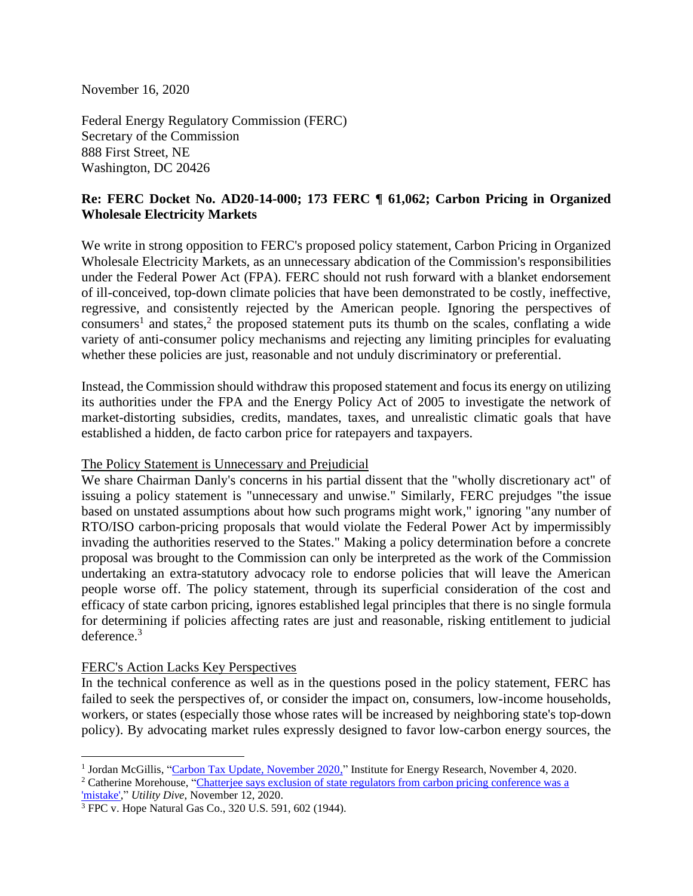November 16, 2020

Federal Energy Regulatory Commission (FERC) Secretary of the Commission 888 First Street, NE Washington, DC 20426

# **Re: FERC Docket No. AD20-14-000; 173 FERC ¶ 61,062; Carbon Pricing in Organized Wholesale Electricity Markets**

We write in strong opposition to FERC's proposed policy statement, Carbon Pricing in Organized Wholesale Electricity Markets, as an unnecessary abdication of the Commission's responsibilities under the Federal Power Act (FPA). FERC should not rush forward with a blanket endorsement of ill-conceived, top-down climate policies that have been demonstrated to be costly, ineffective, regressive, and consistently rejected by the American people. Ignoring the perspectives of consumers<sup>1</sup> and states,<sup>2</sup> the proposed statement puts its thumb on the scales, conflating a wide variety of anti-consumer policy mechanisms and rejecting any limiting principles for evaluating whether these policies are just, reasonable and not unduly discriminatory or preferential.

Instead, the Commission should withdraw this proposed statement and focus its energy on utilizing its authorities under the FPA and the Energy Policy Act of 2005 to investigate the network of market-distorting subsidies, credits, mandates, taxes, and unrealistic climatic goals that have established a hidden, de facto carbon price for ratepayers and taxpayers.

### The Policy Statement is Unnecessary and Prejudicial

We share Chairman Danly's concerns in his partial dissent that the "wholly discretionary act" of issuing a policy statement is "unnecessary and unwise." Similarly, FERC prejudges "the issue based on unstated assumptions about how such programs might work," ignoring "any number of RTO/ISO carbon-pricing proposals that would violate the Federal Power Act by impermissibly invading the authorities reserved to the States." Making a policy determination before a concrete proposal was brought to the Commission can only be interpreted as the work of the Commission undertaking an extra-statutory advocacy role to endorse policies that will leave the American people worse off. The policy statement, through its superficial consideration of the cost and efficacy of state carbon pricing, ignores established legal principles that there is no single formula for determining if policies affecting rates are just and reasonable, risking entitlement to judicial deference.<sup>3</sup>

### FERC's Action Lacks Key Perspectives

In the technical conference as well as in the questions posed in the policy statement, FERC has failed to seek the perspectives of, or consider the impact on, consumers, low-income households, workers, or states (especially those whose rates will be increased by neighboring state's top-down policy). By advocating market rules expressly designed to favor low-carbon energy sources, the

<sup>&</sup>lt;sup>1</sup> Jordan McGillis, ["Carbon Tax Update, November 2020,](https://www.instituteforenergyresearch.org/climate-change/carbon-tax-update-november-2020/)" Institute for Energy Research, November 4, 2020.

<sup>&</sup>lt;sup>2</sup> Catherine Morehouse, "Chatterjee says exclusion of state regulators from carbon pricing conference was a ['mistake',](https://www.utilitydive.com/news/chatterjee-says-exclusion-of-state-regulators-from-carbon-pricing-conferenc/588865/)" *Utility Dive*, November 12, 2020.

<sup>3</sup> FPC v. Hope Natural Gas Co., 320 U.S. 591, 602 (1944).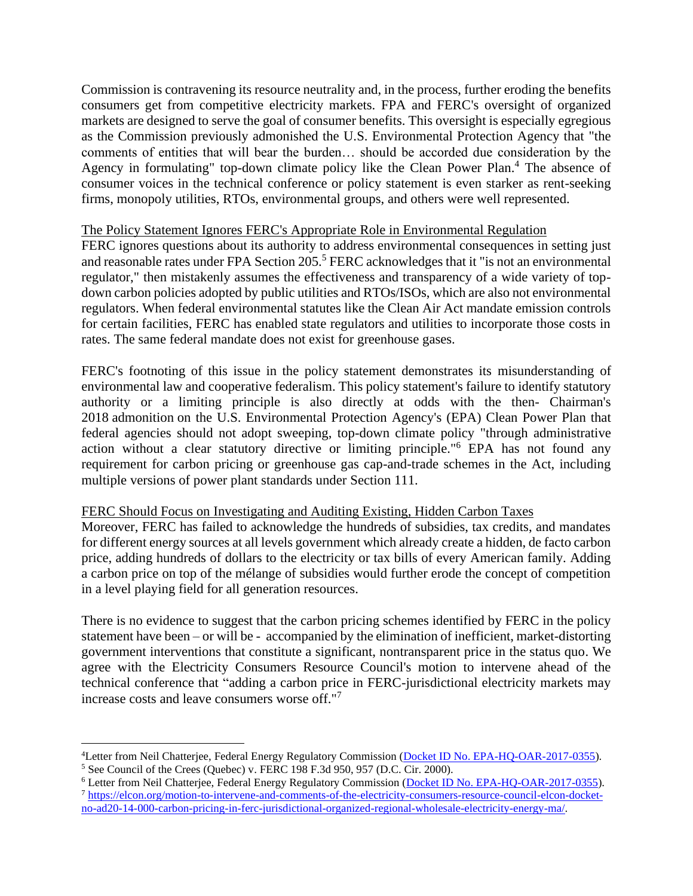Commission is contravening its resource neutrality and, in the process, further eroding the benefits consumers get from competitive electricity markets. FPA and FERC's oversight of organized markets are designed to serve the goal of consumer benefits. This oversight is especially egregious as the Commission previously admonished the U.S. Environmental Protection Agency that "the comments of entities that will bear the burden… should be accorded due consideration by the Agency in formulating" top-down climate policy like the Clean Power Plan.<sup>4</sup> The absence of consumer voices in the technical conference or policy statement is even starker as rent-seeking firms, monopoly utilities, RTOs, environmental groups, and others were well represented.

# The Policy Statement Ignores FERC's Appropriate Role in Environmental Regulation

FERC ignores questions about its authority to address environmental consequences in setting just and reasonable rates under FPA Section 205.<sup>5</sup> FERC acknowledges that it "is not an environmental regulator," then mistakenly assumes the effectiveness and transparency of a wide variety of topdown carbon policies adopted by public utilities and RTOs/ISOs, which are also not environmental regulators. When federal environmental statutes like the Clean Air Act mandate emission controls for certain facilities, FERC has enabled state regulators and utilities to incorporate those costs in rates. The same federal mandate does not exist for greenhouse gases.

FERC's footnoting of this issue in the policy statement demonstrates its misunderstanding of environmental law and cooperative federalism. This policy statement's failure to identify statutory authority or a limiting principle is also directly at odds with the then- Chairman's 2018 admonition on the U.S. Environmental Protection Agency's (EPA) Clean Power Plan that federal agencies should not adopt sweeping, top-down climate policy "through administrative action without a clear statutory directive or limiting principle." <sup>6</sup> EPA has not found any requirement for carbon pricing or greenhouse gas cap-and-trade schemes in the Act, including multiple versions of power plant standards under Section 111.

### FERC Should Focus on Investigating and Auditing Existing, Hidden Carbon Taxes

Moreover, FERC has failed to acknowledge the hundreds of subsidies, tax credits, and mandates for different energy sources at all levels government which already create a hidden, de facto carbon price, adding hundreds of dollars to the electricity or tax bills of every American family. Adding a carbon price on top of the mélange of subsidies would further erode the concept of competition in a level playing field for all generation resources.

There is no evidence to suggest that the carbon pricing schemes identified by FERC in the policy statement have been – or will be - accompanied by the elimination of inefficient, market-distorting government interventions that constitute a significant, nontransparent price in the status quo. We agree with the Electricity Consumers Resource Council's motion to intervene ahead of the technical conference that "adding a carbon price in FERC-jurisdictional electricity markets may increase costs and leave consumers worse off." 7

<sup>7</sup> [https://elcon.org/motion-to-intervene-and-comments-of-the-electricity-consumers-resource-council-elcon-docket](https://elcon.org/motion-to-intervene-and-comments-of-the-electricity-consumers-resource-council-elcon-docket-no-ad20-14-000-carbon-pricing-in-ferc-jurisdictional-organized-regional-wholesale-electricity-energy-ma/)[no-ad20-14-000-carbon-pricing-in-ferc-jurisdictional-organized-regional-wholesale-electricity-energy-ma/.](https://elcon.org/motion-to-intervene-and-comments-of-the-electricity-consumers-resource-council-elcon-docket-no-ad20-14-000-carbon-pricing-in-ferc-jurisdictional-organized-regional-wholesale-electricity-energy-ma/)

<sup>&</sup>lt;sup>4</sup>Letter from Neil Chatterjee, Federal Energy Regulatory Commission [\(Docket ID No. EPA-HQ-OAR-2017-0355\)](https://www.regulations.gov/document?D=EPA-HQ-OAR-2017-0355-24053).  $5$  See Council of the Crees (Quebec) v. FERC 198 F.3d 950, 957 (D.C. Cir. 2000).

<sup>&</sup>lt;sup>6</sup> Letter from Neil Chatterjee, Federal Energy Regulatory Commission [\(Docket ID No. EPA-HQ-OAR-2017-0355\)](https://www.regulations.gov/document?D=EPA-HQ-OAR-2017-0355-24053).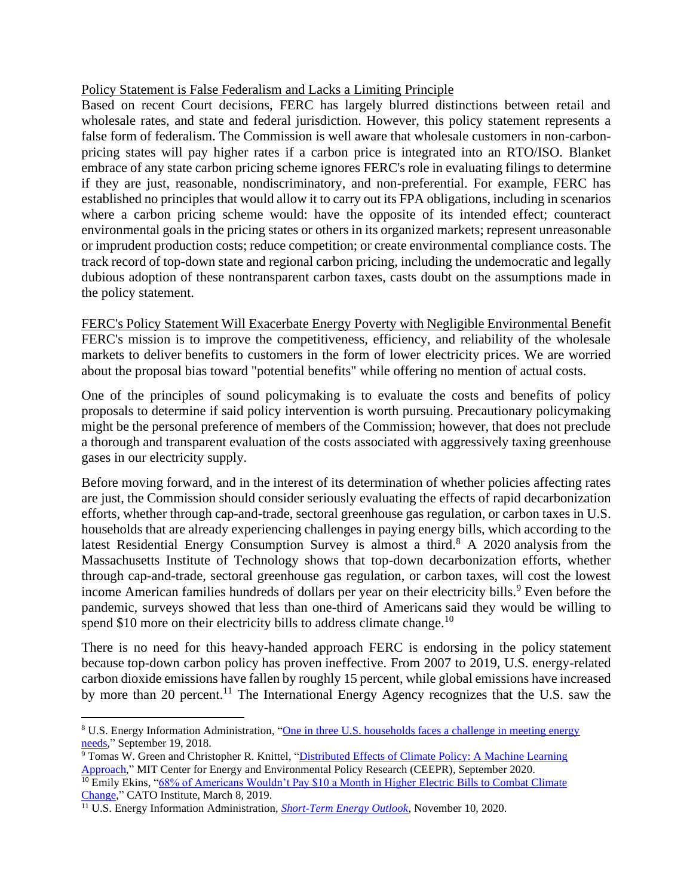# Policy Statement is False Federalism and Lacks a Limiting Principle

Based on recent Court decisions, FERC has largely blurred distinctions between retail and wholesale rates, and state and federal jurisdiction. However, this policy statement represents a false form of federalism. The Commission is well aware that wholesale customers in non-carbonpricing states will pay higher rates if a carbon price is integrated into an RTO/ISO. Blanket embrace of any state carbon pricing scheme ignores FERC's role in evaluating filings to determine if they are just, reasonable, nondiscriminatory, and non-preferential. For example, FERC has established no principles that would allow it to carry out its FPA obligations, including in scenarios where a carbon pricing scheme would: have the opposite of its intended effect; counteract environmental goals in the pricing states or others in its organized markets; represent unreasonable or imprudent production costs; reduce competition; or create environmental compliance costs. The track record of top-down state and regional carbon pricing, including the undemocratic and legally dubious adoption of these nontransparent carbon taxes, casts doubt on the assumptions made in the policy statement.

FERC's Policy Statement Will Exacerbate Energy Poverty with Negligible Environmental Benefit FERC's mission is to improve the competitiveness, efficiency, and reliability of the wholesale markets to deliver benefits to customers in the form of lower electricity prices. We are worried about the proposal bias toward "potential benefits" while offering no mention of actual costs.

One of the principles of sound policymaking is to evaluate the costs and benefits of policy proposals to determine if said policy intervention is worth pursuing. Precautionary policymaking might be the personal preference of members of the Commission; however, that does not preclude a thorough and transparent evaluation of the costs associated with aggressively taxing greenhouse gases in our electricity supply.

Before moving forward, and in the interest of its determination of whether policies affecting rates are just, the Commission should consider seriously evaluating the effects of rapid decarbonization efforts, whether through cap-and-trade, sectoral greenhouse gas regulation, or carbon taxes in U.S. households that are already experiencing challenges in paying energy bills, which according to the latest Residential Energy Consumption Survey is almost a third.<sup>8</sup> A 2020 analysis from the Massachusetts Institute of Technology shows that top-down decarbonization efforts, whether through cap-and-trade, sectoral greenhouse gas regulation, or carbon taxes, will cost the lowest income American families hundreds of dollars per year on their electricity bills.<sup>9</sup> Even before the pandemic, surveys showed that less than one-third of Americans said they would be willing to spend \$10 more on their electricity bills to address climate change.<sup>10</sup>

There is no need for this heavy-handed approach FERC is endorsing in the policy statement because top-down carbon policy has proven ineffective. From 2007 to 2019, U.S. energy-related carbon dioxide emissions have fallen by roughly 15 percent, while global emissions have increased by more than 20 percent.<sup>11</sup> The International Energy Agency recognizes that the U.S. saw the

<sup>8</sup> U.S. Energy Information Administration, ["One in three U.S. households faces a challenge in meeting energy](https://www.eia.gov/todayinenergy/detail.php?id=37072)  [needs,](https://www.eia.gov/todayinenergy/detail.php?id=37072)" September 19, 2018.

<sup>9</sup> Tomas W. Green and Christopher R. Knittel, ["Distributed Effects of Climate Policy: A Machine Learning](http://ceepr.mit.edu/files/papers/roosevelt-project/The-Roosevelt-Project-WP-3.pdf)  [Approach,](http://ceepr.mit.edu/files/papers/roosevelt-project/The-Roosevelt-Project-WP-3.pdf)" MIT Center for Energy and Environmental Policy Research (CEEPR), September 2020. <sup>10</sup> Emily Ekins, "68% of Americans Wouldn't Pay \$10 a Month in Higher Electric Bills to Combat Climate [Change,](https://www.cato.org/blog/68-americans-wouldnt-pay-10-month-higher-electric-bills-combat-climate-change)" CATO Institute, March 8, 2019.

<sup>11</sup> U.S. Energy Information Administration, *[Short-Term Energy Outlook](https://www.eia.gov/outlooks/steo/)*, November 10, 2020.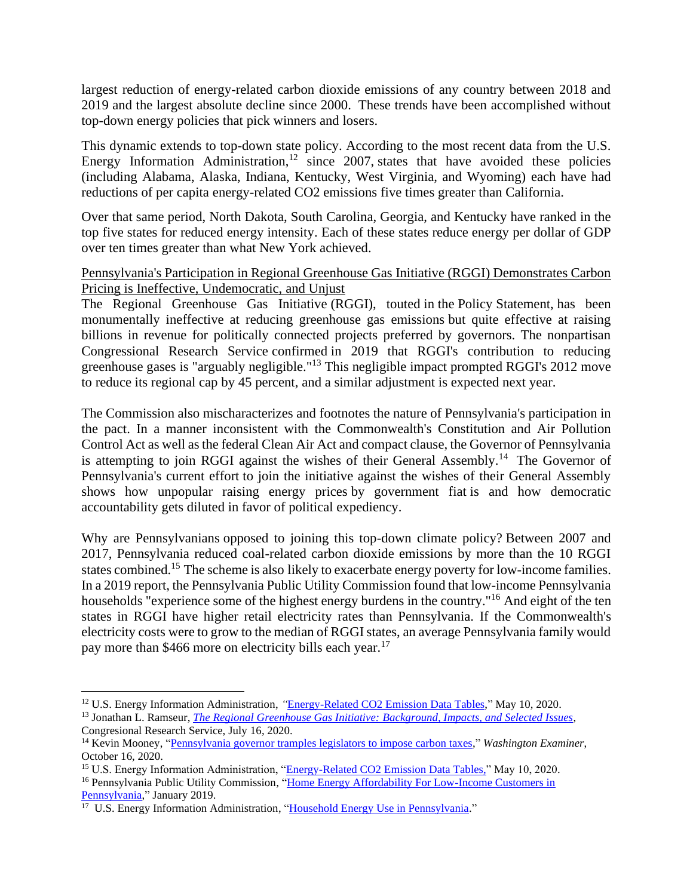largest reduction of energy-related carbon dioxide emissions of any country between 2018 and 2019 and the largest absolute decline since 2000. These trends have been accomplished without top-down energy policies that pick winners and losers.

This dynamic extends to top-down state policy. According to the most recent data from the U.S. Energy Information Administration,<sup>12</sup> since 2007, states that have avoided these policies (including Alabama, Alaska, Indiana, Kentucky, West Virginia, and Wyoming) each have had reductions of per capita energy-related CO2 emissions five times greater than California.

Over that same period, North Dakota, South Carolina, Georgia, and Kentucky have ranked in the top five states for reduced energy intensity. Each of these states reduce energy per dollar of GDP over ten times greater than what New York achieved.

# Pennsylvania's Participation in Regional Greenhouse Gas Initiative (RGGI) Demonstrates Carbon Pricing is Ineffective, Undemocratic, and Unjust

The Regional Greenhouse Gas Initiative (RGGI), touted in the Policy Statement, has been monumentally ineffective at reducing greenhouse gas emissions but quite effective at raising billions in revenue for politically connected projects preferred by governors. The nonpartisan Congressional Research Service confirmed in 2019 that RGGI's contribution to reducing greenhouse gases is "arguably negligible."<sup>13</sup> This negligible impact prompted RGGI's 2012 move to reduce its regional cap by 45 percent, and a similar adjustment is expected next year.

The Commission also mischaracterizes and footnotes the nature of Pennsylvania's participation in the pact. In a manner inconsistent with the Commonwealth's Constitution and Air Pollution Control Act as well as the federal Clean Air Act and compact clause, the Governor of Pennsylvania is attempting to join RGGI against the wishes of their General Assembly.<sup>14</sup> The Governor of Pennsylvania's current effort to join the initiative against the wishes of their General Assembly shows how unpopular raising energy prices by government fiat is and how democratic accountability gets diluted in favor of political expediency.

Why are Pennsylvanians opposed to joining this top-down climate policy? Between 2007 and 2017, Pennsylvania reduced coal-related carbon dioxide emissions by more than the 10 RGGI states combined.<sup>15</sup> The scheme is also likely to exacerbate energy poverty for low-income families. In a 2019 report, the Pennsylvania Public Utility Commission found that low-income Pennsylvania households "experience some of the highest energy burdens in the country."<sup>16</sup> And eight of the ten states in RGGI have higher retail electricity rates than Pennsylvania. If the Commonwealth's electricity costs were to grow to the median of RGGI states, an average Pennsylvania family would pay more than \$466 more on electricity bills each year.<sup>17</sup>

<sup>12</sup> U.S. Energy Information Administration, *"*[Energy-Related CO2 Emission Data Tables,"](https://www.eia.gov/environment/emissions/state/) May 10, 2020.

<sup>13</sup> Jonathan L. Ramseur, *[The Regional Greenhouse Gas Initiative: Background, Impacts, and Selected Issues](https://fas.org/sgp/crs/misc/R41836.pdf)*, Congresional Research Service, July 16, 2020.

<sup>14</sup> Kevin Mooney, ["Pennsylvania governor tramples legislators to impose carbon taxes,](https://www.washingtonexaminer.com/opinion/pennsylvania-governor-tramples-legislators-to-impose-carbon-taxes)" *Washington Examiner*, October 16, 2020.

<sup>&</sup>lt;sup>15</sup> U.S. Energy Information Administration, ["Energy-Related CO2 Emission Data Tables,"](https://www.eia.gov/environment/emissions/state/) May 10, 2020.

<sup>16</sup> Pennsylvania Public Utility Commission, ["Home Energy Affordability For Low-Income](https://www.puc.pa.gov/pcdocs/1602386.pdf) Customers in [Pennsylvania,"](https://www.puc.pa.gov/pcdocs/1602386.pdf) January 2019.

<sup>&</sup>lt;sup>17</sup> U.S. Energy Information Administration, ["Household Energy Use in Pennsylvania.](https://www.eia.gov/consumption/residential/reports/2009/state_briefs/pdf/PA.pdf)"